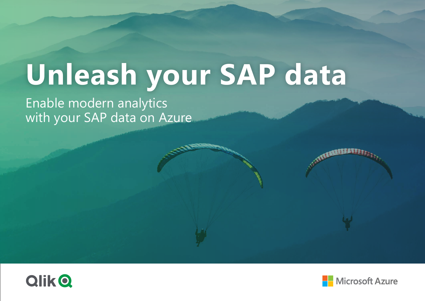## Enable modern analytics with your SAP data on Azure **Unleash your SAP data**





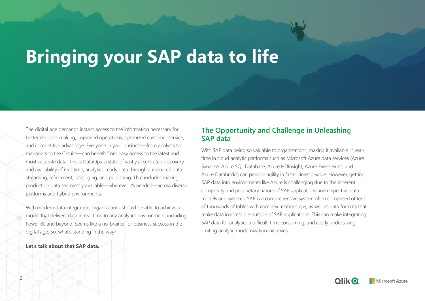The digital age demands instant access to the information necessary for better decision-making, improved operations, optimized customer service, and competitive advantage. Everyone in your business—from analysts to managers to the C-suite—can benefit from easy access to the latest and most accurate data. This is DataOps: a state of vastly accelerated discovery and availability of real-time, analytics-ready data through automated data streaming, refinement, cataloging, and publishing. That includes making production data seamlessly available—wherever it's needed—across diverse platforms and hybrid environments.

With modern data integration, organizations should be able to achieve a model that delivers data in real time to any analytics environment, including Power BI, and beyond. Seems like a no-brainer for business success in the digital age. So, what's standing in the way?

#### **Let's talk about that SAP data.**

### **The Opportunity and Challenge in Unleashing SAP data**

With SAP data being so valuable to organizations, making it available in realtime in cloud analytic platforms such as Microsoft Azure data services (Azure Synapse, Azure SQL Database, Azure HDInsight, Azure Event Hubs, and Azure Databricks) can provide agility in faster time to value. However, getting SAP data into environments like Azure is challenging due to the inherent complexity and proprietary nature of SAP applications and respective data models and systems. SAP is a comprehensive system often comprised of tens of thousands of tables with complex relationships, as well as data formats that make data inaccessible outside of SAP applications. This can make integrating SAP data for analytics a difficult, time consuming, and costly undertaking, limiting analytic modernization initiatives.







## **Bringing your SAP data to life**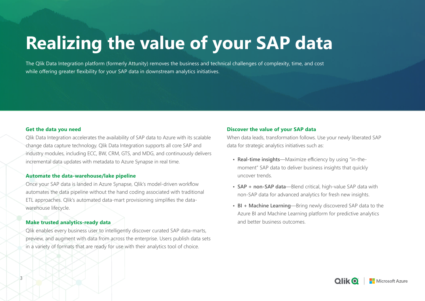3

#### **Discover the value of your SAP data**

When data leads, transformation follows. Use your newly liberated SAP data for strategic analytics initiatives such as:

- **• Real-time insights**—Maximize efficiency by using "in-themoment" SAP data to deliver business insights that quickly uncover trends.
- **• SAP + non-SAP data**—Blend critical, high-value SAP data with non-SAP data for advanced analytics for fresh new insights.
- **• BI + Machine Learning**—Bring newly discovered SAP data to the Azure BI and Machine Learning platform for predictive analytics and better business outcomes.







#### **Get the data you need**

Qlik Data Integration accelerates the availability of SAP data to Azure with its scalable change data capture technology. Qlik Data Integration supports all core SAP and industry modules, including ECC, BW, CRM, GTS, and MDG, and continuously delivers incremental data updates with metadata to Azure Synapse in real time.

#### **Automate the data-warehouse/lake pipeline**

Once your SAP data is landed in Azure Synapse, Qlik's model-driven workflow automates the data pipeline without the hand coding associated with traditional ETL approaches. Qlik's automated data-mart provisioning simplifies the datawarehouse lifecycle.

#### **Make trusted analytics-ready data**

Qlik enables every business user to intelligently discover curated SAP data-marts, preview, and augment with data from across the enterprise. Users publish data sets in a variety of formats that are ready for use with their analytics tool of choice.

# **Realizing the value of your SAP data**

The Qlik Data Integration platform (formerly Attunity) removes the business and technical challenges of complexity, time, and cost while offering greater flexibility for your SAP data in downstream analytics initiatives.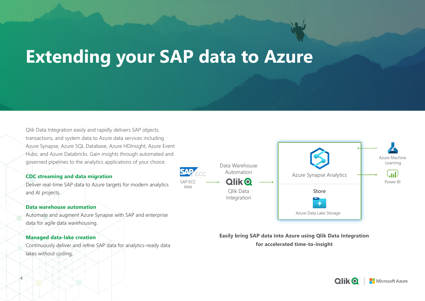Qlik Data Integration easily and rapidly delivers SAP objects, transactions, and system data to Azure data services including Azure Synapse, Azure SQL Database, Azure HDInsight, Azure Event Hubs, and Azure Databricks. Gain insights through automated and governed pipelines to the analytics applications of your choice.

#### **CDC streaming and data migration**

Deliver real-time SAP data to Azure targets for modern analytics and AI projects.

#### **Data warehouse automation**

Automate and augment Azure Synapse with SAP and enterprise data for agile data warehousing.

#### **Managed data-lake creation**

Continuously deliver and refine SAP data for analytics-ready data lakes without coding.

## **Extending your SAP data to Azure**



**Easily bring SAP data into Azure using Qlik Data Integration for accelerated time-to-insight**





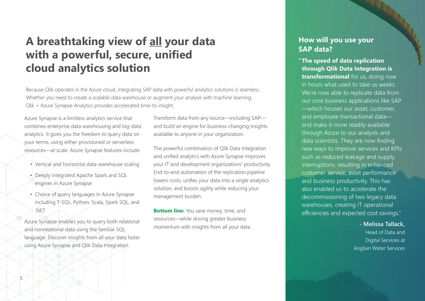### **A breathtaking view of all your data with a powerful, secure, unified cloud analytics solution**

Because Qlik operates in the Azure cloud, integrating SAP data with powerful analytics solutions is seamless. Whether you need to create a scalable data warehouse or augment your analysis with machine learning, Qlik + Azure Synapse Analytics provides accelerated time-to-insight.

Azure Synapse is a limitless analytics service that combines enterprise data warehousing and big-data analytics. It gives you the freedom to query data on your terms, using either provisioned or serverless resources—at scale. Azure Synapse features include:

- Vertical and horizontal data-warehouse scaling
- Deeply integrated Apache Spark and SQL engines in Azure Synapse
- Choice of query languages in Azure Synapse including T-SQL, Python, Scala, Spark SQL, and .NET

**Bottom line:** You save money, time, and resources—while driving greater business momentum with insights from all your data.

Azure Synapse enables you to query both relational and nonrelational data using the familiar SQL language. Discover insights from all your data faster using Azure Synapse and Qlik Data Integration.

Transform data from any source—including SAP and build an engine for business-changing insights available to anyone in your organization.

The powerful combination of Qlik Data Integration and unified analytics with Azure Synapse improves your IT and development organizations' productivity. End-to-end automation of the replication pipeline lowers costs, unifies your data into a single analytics solution, and boosts agility while reducing your management burden.

### **How will you use your SAP data?**

**"The speed of data replication through Qlik Data Integration is transformational** for us, doing now in hours what used to take us weeks. We're now able to replicate data from our core business applications like SAP —which houses our asset, customer, and employee transactional data and make it more readily available through Azure to our analysts and data scientists. They are now finding new ways to improve services and KPIs such as reduced leakage and supply interruptions, resulting in enhanced customer service, asset performance and business productivity. This has also enabled us to accelerate the decommissioning of two legacy data warehouses, creating IT operational efficiencies and expected cost savings."

> **- Melissa Tallack,**  Head of Data and Digital Services at Anglian Water Services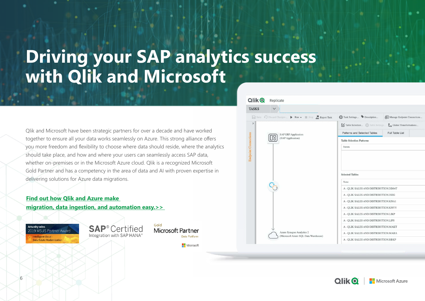- 
- 
- 
- 

Data Platform

Microsoft







| Description               | Manage Endpoint Connections           |  |
|---------------------------|---------------------------------------|--|
| <b>Joe</b> Table Settings | L <sub>D</sub> Global Transformations |  |
| elected Tables            | <b>Full Table List</b>                |  |

| <b>IS AND DISTRIBUTION DD04T</b> |  |
|----------------------------------|--|
| <b>IS AND DISTRIBUTION ISEG</b>  |  |
| S AND DISTRIBUTION.KNA1          |  |
| <b>IS AND DISTRIBUTION KNVV</b>  |  |
| <b>IS AND DISTRIBUTION LIKP</b>  |  |
| <b>IS AND DISTRIBUTION LIPS</b>  |  |
| S AND DISTRIBUTION MAKT          |  |
| <b>IS AND DISTRIBUTION MARA</b>  |  |
| <b>IS AND DISTRIBUTION RBKP</b>  |  |
|                                  |  |



Qlik and Microsoft have been strategic partners for over a decade and have worked together to ensure all your data works seamlessly on Azure. This strong alliance offers you more freedom and flexibility to choose where data should reside, where the analytics should take place, and how and where your users can seamlessly access SAP data, whether on-premises or in the Microsoft Azure cloud. Qlik is a recognized Microsoft Gold Partner and has a competency in the area of data and AI with proven expertise in delivering solutions for Azure data migrations.

### **Find out how Qlik and Azure make [migration, data ingestion, and automation easy.>>](https://www.qlik.com/us/products/technology/qlik-microsoft-azure-migration)**

**Attunity wins** 2019 MSUS Partner Award

Intelligent Cloud -**Data Estate Modernization** 

**SAP**<sup>®</sup> Certified Integration with SAP HANA®

Gold **Microsoft Partner** 

## **Driving your SAP analytics success with Qlik and Microsoft**